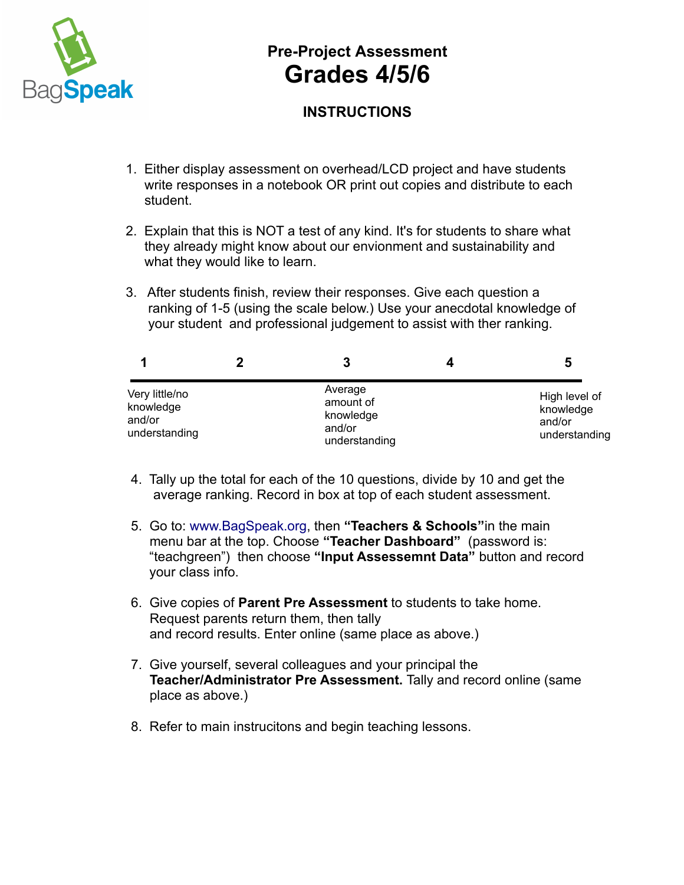

## **Pre-Project Assessment Grades 4/5/6**

## **INSTRUCTIONS**

- 1. Either display assessment on overhead/LCD project and have students write responses in a notebook OR print out copies and distribute to each student.
- 2. Explain that this is NOT a test of any kind. It's for students to share what they already might know about our envionment and sustainability and what they would like to learn.
- 3. After students finish, review their responses. Give each question a ranking of 1-5 (using the scale below.) Use your anecdotal knowledge of your student and professional judgement to assist with ther ranking.

|                                                        |                                                              | b                                                     |
|--------------------------------------------------------|--------------------------------------------------------------|-------------------------------------------------------|
| Very little/no<br>knowledge<br>and/or<br>understanding | Average<br>amount of<br>knowledge<br>and/or<br>understanding | High level of<br>knowledge<br>and/or<br>understanding |

- 4. Tally up the total for each of the 10 questions, divide by 10 and get the average ranking. Record in box at top of each student assessment.
- 5. Go to: [www.BagSpeak.org,](http://www.BagSpeak.org/) then **"Teachers & Schools"**in the main menu bar at the top. Choose **"Teacher Dashboard"** (password is: "teachgreen") then choose **"Input Assessemnt Data"** button and record your class info.
- 6. Give copies of **Parent Pre Assessment** to students to take home. Request parents return them, then tally and record results. Enter online (same place as above.)
- 7. Give yourself, several colleagues and your principal the  **Teacher/Administrator Pre Assessment.** Tally and record online (same place as above.)
- 8. Refer to main instrucitons and begin teaching lessons.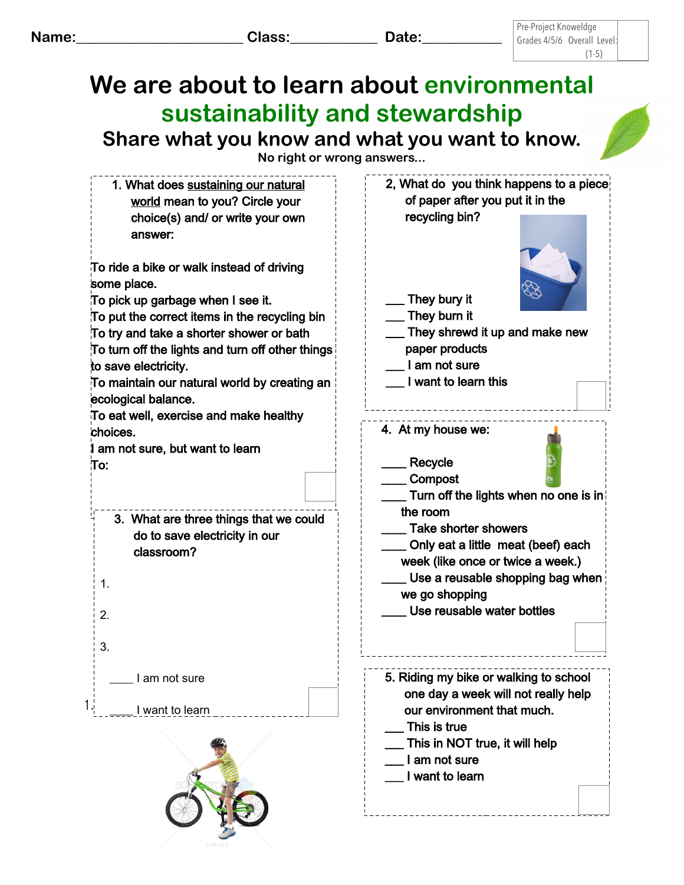